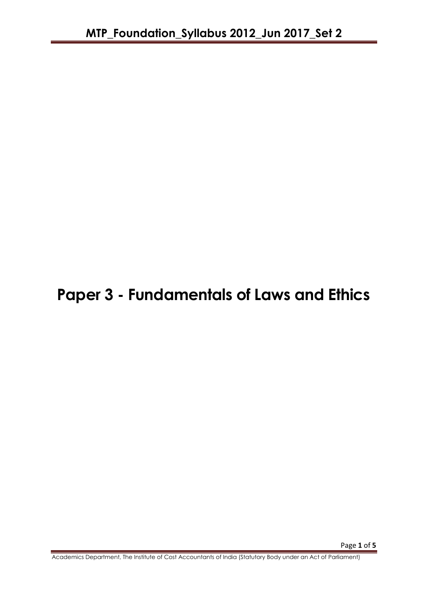# **Paper 3 - Fundamentals of Laws and Ethics**

Academics Department, The Institute of Cost Accountants of India (Statutory Body under an Act of Parliament)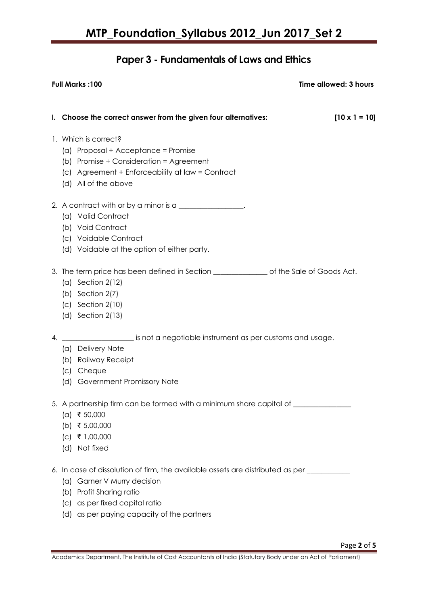## **Paper 3 - Fundamentals of Laws and Ethics**

|    | <b>Full Marks: 100</b>                                                                                                                                                                                                                         | Time allowed: 3 hours |  |
|----|------------------------------------------------------------------------------------------------------------------------------------------------------------------------------------------------------------------------------------------------|-----------------------|--|
|    |                                                                                                                                                                                                                                                |                       |  |
|    | I. Choose the correct answer from the given four alternatives:                                                                                                                                                                                 | $[10 \times 1 = 10]$  |  |
|    | 1. Which is correct?<br>(a) Proposal + Acceptance = Promise<br>(b) Promise + Consideration = Agreement<br>(c) Agreement + Enforceability at law = Contract<br>(d) All of the above                                                             |                       |  |
|    | 2. A contract with or by a minor is a ________________.<br>(a) Valid Contract<br>(b) Void Contract<br>(c) Voidable Contract<br>(d) Voidable at the option of either party.                                                                     |                       |  |
|    | 3. The term price has been defined in Section _________________ of the Sale of Goods Act.<br>(a) Section $2(12)$<br>(b) Section $2(7)$<br>$(c)$ Section 2(10)<br>(d) Section $2(13)$                                                           |                       |  |
| 4. | is not a negotiable instrument as per customs and usage.<br>(a) Delivery Note<br>(b) Railway Receipt<br>(c) Cheque<br>(d) Government Promissory Note                                                                                           |                       |  |
|    | 5. A partnership firm can be formed with a minimum share capital of ____________<br>$(a)$ ₹ 50,000<br>₹ 5,00,000<br>(b)<br>₹ 1,00,000<br>(C)<br>Not fixed<br>(d)                                                                               |                       |  |
|    | 6. In case of dissolution of firm, the available assets are distributed as per ___________<br>Garner V Murry decision<br>(a)<br>Profit Sharing ratio<br>(b)<br>as per fixed capital ratio<br>(c)<br>(d) as per paying capacity of the partners |                       |  |

Academics Department, The Institute of Cost Accountants of India (Statutory Body under an Act of Parliament)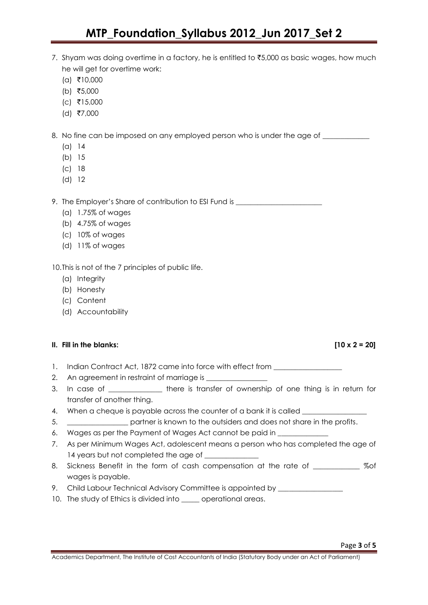## **MTP\_Foundation\_Syllabus 2012\_Jun 2017\_Set 2**

- 7. Shyam was doing overtime in a factory, he is entitled to  $\overline{5,000}$  as basic wages, how much he will get for overtime work:
	- $(a)$  ₹10,000
	- (b) ₹5,000
	- $(c)$  ₹15,000
	- $(d)$  ₹7,000

8. No fine can be imposed on any employed person who is under the age of \_\_\_\_\_\_\_\_

- (a) 14
- (b) 15
- (c) 18
- (d) 12

9. The Employer's Share of contribution to ESI Fund is \_\_\_\_\_\_\_\_\_\_\_\_\_\_\_\_\_\_\_\_\_\_\_\_\_

- (a) 1.75% of wages
- (b) 4.75% of wages
- (c) 10% of wages
- (d) 11% of wages

10.This is not of the 7 principles of public life.

- (a) Integrity
- (b) Honesty
- (c) Content
- (d) Accountability

#### **II. Fill in the blanks: [10 x 2 = 20]**

- 1. Indian Contract Act, 1872 came into force with effect from
- 2. An agreement in restraint of marriage is **All Accords**
- 3. In case of \_\_\_\_\_\_\_\_\_\_\_\_\_\_\_ there is transfer of ownership of one thing is in return for transfer of another thing.
- 4. When a cheque is payable across the counter of a bank it is called \_\_\_\_\_\_\_\_\_\_
- 5. \_\_\_\_\_\_\_\_\_\_\_\_\_\_\_\_\_ partner is known to the outsiders and does not share in the profits.
- 6. Wages as per the Payment of Wages Act cannot be paid in
- 7. As per Minimum Wages Act, adolescent means a person who has completed the age of 14 years but not completed the age of \_\_\_\_\_\_\_\_\_\_\_\_\_\_\_
- 8. Sickness Benefit in the form of cash compensation at the rate of \_\_\_\_\_\_\_\_\_\_\_\_\_ %of wages is payable.
- 9. Child Labour Technical Advisory Committee is appointed by \_\_\_\_\_\_\_\_\_\_\_\_\_\_\_\_\_\_\_
- 10. The study of Ethics is divided into \_\_\_\_\_ operational areas.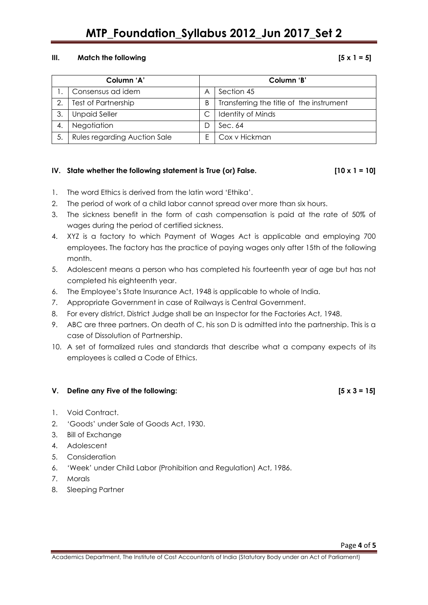## **MTP\_Foundation\_Syllabus 2012\_Jun 2017\_Set 2**

#### **III. Match the following**  $[5 \times 1 = 5]$

| Column 'A' |                                     | Column 'B' |                                          |
|------------|-------------------------------------|------------|------------------------------------------|
|            | Consensus ad idem                   | Α          | Section 45                               |
| 2.         | Test of Partnership                 | B          | Transferring the title of the instrument |
| 3.         | <b>Unpaid Seller</b>                |            | <b>Identity of Minds</b>                 |
| 4.         | Negotiation                         |            | Sec. 64                                  |
| 5.         | <b>Rules regarding Auction Sale</b> |            | Cox v Hickman                            |

### IV. State whether the following statement is True (or) False.  $[10 \times 1 = 10]$

1. The word Ethics is derived from the latin word 'Ethika'.

- 2. The period of work of a child labor cannot spread over more than six hours.
- 3. The sickness benefit in the form of cash compensation is paid at the rate of 50% of wages during the period of certified sickness.
- 4. XYZ is a factory to which Payment of Wages Act is applicable and employing 700 employees. The factory has the practice of paying wages only after 15th of the following month.
- 5. Adolescent means a person who has completed his fourteenth year of age but has not completed his eighteenth year.
- 6. The Employee's State Insurance Act, 1948 is applicable to whole of India.
- 7. Appropriate Government in case of Railways is Central Government.
- 8. For every district, District Judge shall be an Inspector for the Factories Act, 1948.
- 9. ABC are three partners. On death of C, his son D is admitted into the partnership. This is a case of Dissolution of Partnership.
- 10. A set of formalized rules and standards that describe what a company expects of its employees is called a Code of Ethics.

#### **V. Define any Five of the following: [5 x 3 = 15]**

- 1. Void Contract.
- 2. 'Goods' under Sale of Goods Act, 1930.
- 3. Bill of Exchange
- 4. Adolescent
- 5. Consideration
- 6. 'Week' under Child Labor (Prohibition and Regulation) Act, 1986.
- 7. Morals
- 8. Sleeping Partner